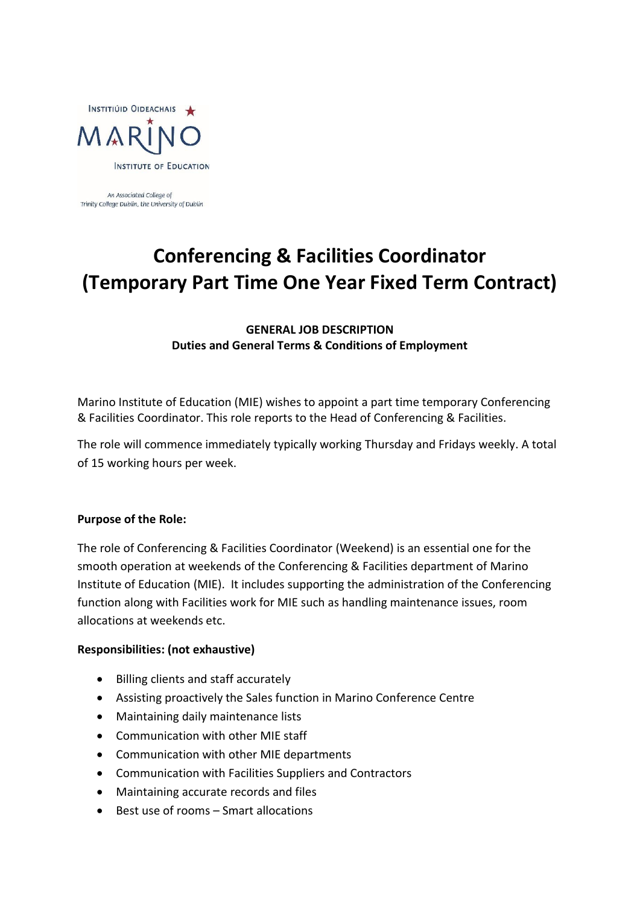

An Associated College of Trinity College Dublin, the University of Dublin

# **Conferencing & Facilities Coordinator (Temporary Part Time One Year Fixed Term Contract)**

## **GENERAL JOB DESCRIPTION Duties and General Terms & Conditions of Employment**

Marino Institute of Education (MIE) wishes to appoint a part time temporary Conferencing & Facilities Coordinator. This role reports to the Head of Conferencing & Facilities.

The role will commence immediately typically working Thursday and Fridays weekly. A total of 15 working hours per week.

#### **Purpose of the Role:**

The role of Conferencing & Facilities Coordinator (Weekend) is an essential one for the smooth operation at weekends of the Conferencing & Facilities department of Marino Institute of Education (MIE). It includes supporting the administration of the Conferencing function along with Facilities work for MIE such as handling maintenance issues, room allocations at weekends etc.

#### **Responsibilities: (not exhaustive)**

- Billing clients and staff accurately
- Assisting proactively the Sales function in Marino Conference Centre
- Maintaining daily maintenance lists
- Communication with other MIE staff
- Communication with other MIE departments
- Communication with Facilities Suppliers and Contractors
- Maintaining accurate records and files
- Best use of rooms Smart allocations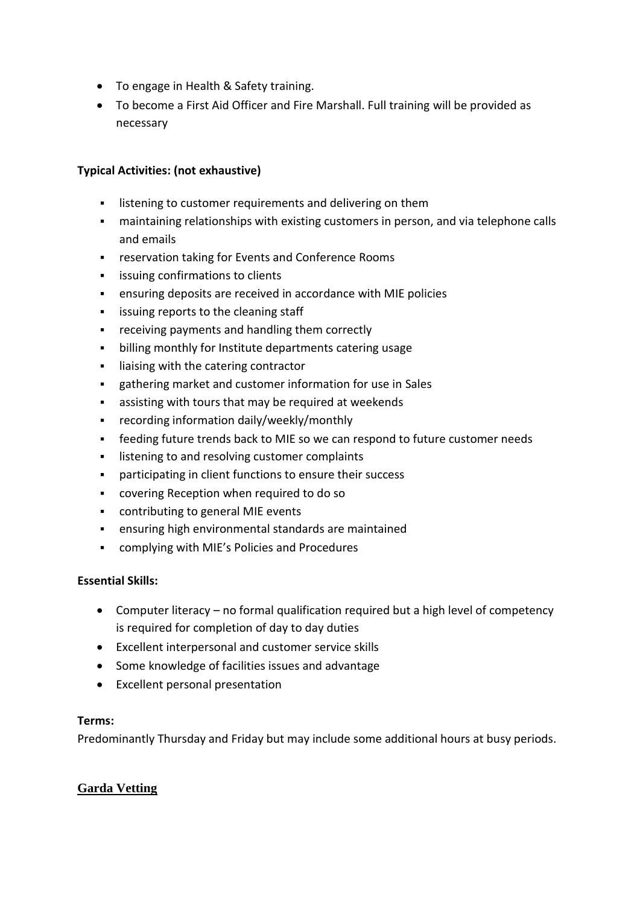- To engage in Health & Safety training.
- To become a First Aid Officer and Fire Marshall. Full training will be provided as necessary

## **Typical Activities: (not exhaustive)**

- **EXECT** listening to customer requirements and delivering on them
- maintaining relationships with existing customers in person, and via telephone calls and emails
- **EXECTE FIGHT FIGHTS IN A** reservation taking for Events and Conference Rooms
- **EXECUTE:** issuing confirmations to clients
- ensuring deposits are received in accordance with MIE policies
- **EXEC** issuing reports to the cleaning staff
- receiving payments and handling them correctly
- billing monthly for Institute departments catering usage
- **I** liaising with the catering contractor
- gathering market and customer information for use in Sales
- assisting with tours that may be required at weekends
- **•** recording information daily/weekly/monthly
- feeding future trends back to MIE so we can respond to future customer needs
- listening to and resolving customer complaints
- participating in client functions to ensure their success
- covering Reception when required to do so
- contributing to general MIE events
- ensuring high environmental standards are maintained
- complying with MIE's Policies and Procedures

## **Essential Skills:**

- Computer literacy no formal qualification required but a high level of competency is required for completion of day to day duties
- Excellent interpersonal and customer service skills
- Some knowledge of facilities issues and advantage
- Excellent personal presentation

#### **Terms:**

Predominantly Thursday and Friday but may include some additional hours at busy periods.

## **Garda Vetting**